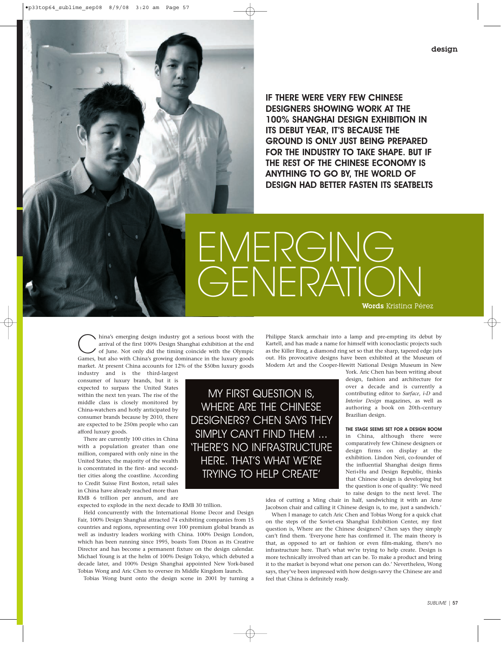•p33top64\_sublime\_sep08 8/9/08 3:20 am Page 57

IF THERE WERE VERY FEW CHINESE DESIGNERS SHOWING WORK AT THE 100% SHANGHAI DESIGN EXHIBITION IN ITS DEBUT YEAR, IT'S BECAUSE THE GROUND IS ONLY JUST BEING PREPARED FOR THE INDUSTRY TO TAKE SHAPE. BUT IF THE REST OF THE CHINESE ECONOMY IS ANYTHING TO GO BY, THE WORLD OF DESIGN HAD BETTER FASTEN ITS SEATBELTS

EMERGING GENERATIO Words Kristina Pérez

hina's emerging design industry got a serious boost with the<br>arrival of the first 100% Design Shanghai exhibition at the end<br>of June. Not only did the timing coincide with the Olympic<br>Games but also with China's growing do arrival of the first 100% Design Shanghai exhibition at the end Games, but also with China's growing dominance in the luxury goods market. At present China accounts for 12% of the \$50bn luxury goods

industry and is the third-largest consumer of luxury brands, but it is expected to surpass the United States within the next ten years. The rise of the middle class is closely monitored by China-watchers and hotly anticipated by consumer brands because by 2010, there are expected to be 250m people who can afford luxury goods.

There are currently 100 cities in China with a population greater than one million, compared with only nine in the United States; the majority of the wealth is concentrated in the first- and secondtier cities along the coastline. According to Credit Suisse First Boston, retail sales in China have already reached more than RMB 6 trillion per annum, and are

expected to explode in the next decade to RMB 30 trillion.

Held concurrently with the International Home Decor and Design Fair, 100% Design Shanghai attracted 74 exhibiting companies from 15 countries and regions, representing over 100 premium global brands as well as industry leaders working with China. 100% Design London, which has been running since 1995, boasts Tom Dixon as its Creative Director and has become a permanent fixture on the design calendar. Michael Young is at the helm of 100% Design Tokyo, which debuted a decade later, and 100% Design Shanghai appointed New York-based Tobias Wong and Aric Chen to oversee its Middle Kingdom launch.

Tobias Wong burst onto the design scene in 2001 by turning a

Philippe Starck armchair into a lamp and pre-empting its debut by Kartell, and has made a name for himself with iconoclastic projects such as the Killer Ring, a diamond ring set so that the sharp, tapered edge juts out. His provocative designs have been exhibited at the Museum of Modern Art and the Cooper-Hewitt National Design Museum in New

MY FIRST QUESTION IS, WHERE ARE THE CHINESE DESIGNERS? CHEN SAYS THEY SIMPLY CAN'T FIND THEM ... 'THERE'S NO INFRASTRUCTURE HERE. THAT'S WHAT WE'RE

TRYING TO HELP CREATE'

York. Aric Chen has been writing about design, fashion and architecture for over a decade and is currently a contributing editor to *Surface*, *i-D* and *Interior Design* magazines, as well as authoring a book on 20th-century Brazilian design.

THE STAGE SEEMS SET FOR A DESIGN BOOM in China, although there were comparatively few Chinese designers or design firms on display at the exhibition. Lindon Neri, co-founder of the influential Shanghai design firms Neri+Hu and Design Republic, thinks that Chinese design is developing but the question is one of quality: 'We need to raise design to the next level. The

idea of cutting a Ming chair in half, sandwiching it with an Arne Jacobson chair and calling it Chinese design is, to me, just a sandwich.'

When I manage to catch Aric Chen and Tobias Wong for a quick chat on the steps of the Soviet-era Shanghai Exhibition Center, my first question is, Where are the Chinese designers? Chen says they simply can't find them. 'Everyone here has confirmed it. The main theory is that, as opposed to art or fashion or even film-making, there's no infrastructure here. That's what we're trying to help create. Design is more technically involved than art can be. To make a product and bring it to the market is beyond what one person can do.' Nevertheless, Wong says, they've been impressed with how design-savvy the Chinese are and feel that China is definitely ready.